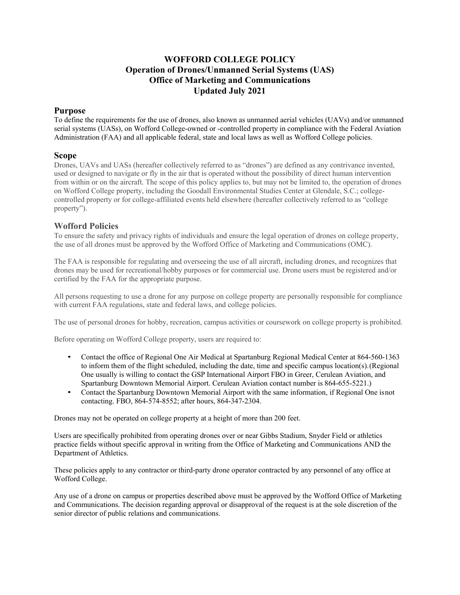## **WOFFORD COLLEGE POLICY Operation of Drones/Unmanned Serial Systems (UAS) Office of Marketing and Communications Updated July 2021**

## **Purpose**

To define the requirements for the use of drones, also known as unmanned aerial vehicles (UAVs) and/or unmanned serial systems (UASs), on Wofford College-owned or -controlled property in compliance with the Federal Aviation Administration (FAA) and all applicable federal, state and local laws as well as Wofford College policies.

## **Scope**

Drones, UAVs and UASs (hereafter collectively referred to as "drones") are defined as any contrivance invented, used or designed to navigate or fly in the air that is operated without the possibility of direct human intervention from within or on the aircraft. The scope of this policy applies to, but may not be limited to, the operation of drones on Wofford College property, including the Goodall Environmental Studies Center at Glendale, S.C.; collegecontrolled property or for college-affiliated events held elsewhere (hereafter collectively referred to as "college property").

## **Wofford Policies**

To ensure the safety and privacy rights of individuals and ensure the legal operation of drones on college property, the use of all drones must be approved by the Wofford Office of Marketing and Communications (OMC).

The FAA is responsible for regulating and overseeing the use of all aircraft, including drones, and recognizes that drones may be used for recreational/hobby purposes or for commercial use. Drone users must be registered and/or certified by the FAA for the appropriate purpose.

All persons requesting to use a drone for any purpose on college property are personally responsible for compliance with current FAA regulations, state and federal laws, and college policies.

The use of personal drones for hobby, recreation, campus activities or coursework on college property is prohibited.

Before operating on Wofford College property, users are required to:

- Contact the office of Regional One Air Medical at Spartanburg Regional Medical Center at 864-560-1363 to inform them of the flight scheduled, including the date, time and specific campus location(s).(Regional One usually is willing to contact the GSP International Airport FBO in Greer, Cerulean Aviation, and Spartanburg Downtown Memorial Airport. Cerulean Aviation contact number is 864-655-5221.)
- Contact the Spartanburg Downtown Memorial Airport with the same information, if Regional One isnot contacting. FBO, 864-574-8552; after hours, 864-347-2304.

Drones may not be operated on college property at a height of more than 200 feet.

Users are specifically prohibited from operating drones over or near Gibbs Stadium, Snyder Field or athletics practice fields without specific approval in writing from the Office of Marketing and Communications AND the Department of Athletics.

These policies apply to any contractor or third-party drone operator contracted by any personnel of any office at Wofford College.

Any use of a drone on campus or properties described above must be approved by the Wofford Office of Marketing and Communications. The decision regarding approval or disapproval of the request is at the sole discretion of the senior director of public relations and communications.